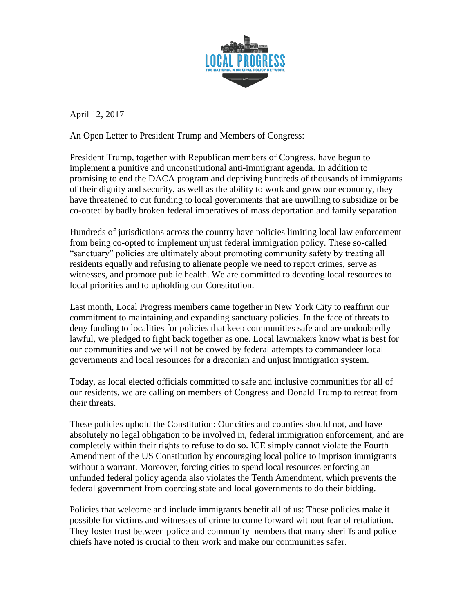

April 12, 2017

An Open Letter to President Trump and Members of Congress:

President Trump, together with Republican members of Congress, have begun to implement a punitive and unconstitutional anti-immigrant agenda. In addition to promising to end the DACA program and depriving hundreds of thousands of immigrants of their dignity and security, as well as the ability to work and grow our economy, they have threatened to cut funding to local governments that are unwilling to subsidize or be co-opted by badly broken federal imperatives of mass deportation and family separation.

Hundreds of jurisdictions across the country have policies limiting local law enforcement from being co-opted to implement unjust federal immigration policy. These so-called "sanctuary" policies are ultimately about promoting community safety by treating all residents equally and refusing to alienate people we need to report crimes, serve as witnesses, and promote public health. We are committed to devoting local resources to local priorities and to upholding our Constitution.

Last month, Local Progress members came together in New York City to reaffirm our commitment to maintaining and expanding sanctuary policies. In the face of threats to deny funding to localities for policies that keep communities safe and are undoubtedly lawful, we pledged to fight back together as one. Local lawmakers know what is best for our communities and we will not be cowed by federal attempts to commandeer local governments and local resources for a draconian and unjust immigration system.

Today, as local elected officials committed to safe and inclusive communities for all of our residents, we are calling on members of Congress and Donald Trump to retreat from their threats.

These policies uphold the Constitution: Our cities and counties should not, and have absolutely no legal obligation to be involved in, federal immigration enforcement, and are completely within their rights to refuse to do so. ICE simply cannot violate the Fourth Amendment of the US Constitution by encouraging local police to imprison immigrants without a warrant. Moreover, forcing cities to spend local resources enforcing an unfunded federal policy agenda also violates the Tenth Amendment, which prevents the federal government from coercing state and local governments to do their bidding.

Policies that welcome and include immigrants benefit all of us: These policies make it possible for victims and witnesses of crime to come forward without fear of retaliation. They foster trust between police and community members that many sheriffs and police chiefs have noted is crucial to their work and make our communities safer.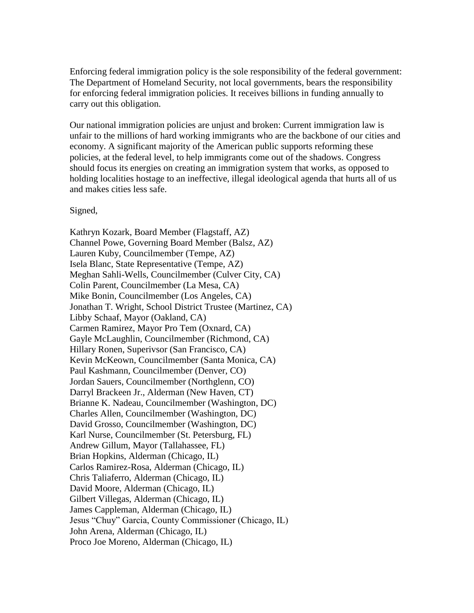Enforcing federal immigration policy is the sole responsibility of the federal government: The Department of Homeland Security, not local governments, bears the responsibility for enforcing federal immigration policies. It receives billions in funding annually to carry out this obligation.

Our national immigration policies are unjust and broken: Current immigration law is unfair to the millions of hard working immigrants who are the backbone of our cities and economy. A significant majority of the American public supports reforming these policies, at the federal level, to help immigrants come out of the shadows. Congress should focus its energies on creating an immigration system that works, as opposed to holding localities hostage to an ineffective, illegal ideological agenda that hurts all of us and makes cities less safe.

Signed,

Kathryn Kozark, Board Member (Flagstaff, AZ) Channel Powe, Governing Board Member (Balsz, AZ) Lauren Kuby, Councilmember (Tempe, AZ) Isela Blanc, State Representative (Tempe, AZ) Meghan Sahli-Wells, Councilmember (Culver City, CA) Colin Parent, Councilmember (La Mesa, CA) Mike Bonin, Councilmember (Los Angeles, CA) Jonathan T. Wright, School District Trustee (Martinez, CA) Libby Schaaf, Mayor (Oakland, CA) Carmen Ramirez, Mayor Pro Tem (Oxnard, CA) Gayle McLaughlin, Councilmember (Richmond, CA) Hillary Ronen, Superivsor (San Francisco, CA) Kevin McKeown, Councilmember (Santa Monica, CA) Paul Kashmann, Councilmember (Denver, CO) Jordan Sauers, Councilmember (Northglenn, CO) Darryl Brackeen Jr., Alderman (New Haven, CT) Brianne K. Nadeau, Councilmember (Washington, DC) Charles Allen, Councilmember (Washington, DC) David Grosso, Councilmember (Washington, DC) Karl Nurse, Councilmember (St. Petersburg, FL) Andrew Gillum, Mayor (Tallahassee, FL) Brian Hopkins, Alderman (Chicago, IL) Carlos Ramirez-Rosa, Alderman (Chicago, IL) Chris Taliaferro, Alderman (Chicago, IL) David Moore, Alderman (Chicago, IL) Gilbert Villegas, Alderman (Chicago, IL) James Cappleman, Alderman (Chicago, IL) Jesus "Chuy" Garcia, County Commissioner (Chicago, IL) John Arena, Alderman (Chicago, IL) Proco Joe Moreno, Alderman (Chicago, IL)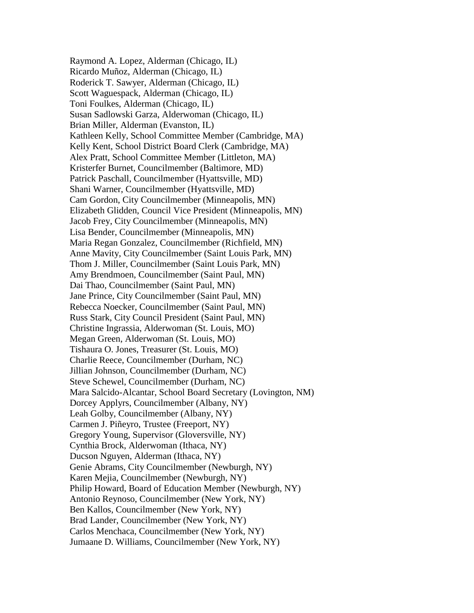Raymond A. Lopez, Alderman (Chicago, IL) Ricardo Muñoz, Alderman (Chicago, IL) Roderick T. Sawyer, Alderman (Chicago, IL) Scott Waguespack, Alderman (Chicago, IL) Toni Foulkes, Alderman (Chicago, IL) Susan Sadlowski Garza, Alderwoman (Chicago, IL) Brian Miller, Alderman (Evanston, IL) Kathleen Kelly, School Committee Member (Cambridge, MA) Kelly Kent, School District Board Clerk (Cambridge, MA) Alex Pratt, School Committee Member (Littleton, MA) Kristerfer Burnet, Councilmember (Baltimore, MD) Patrick Paschall, Councilmember (Hyattsville, MD) Shani Warner, Councilmember (Hyattsville, MD) Cam Gordon, City Councilmember (Minneapolis, MN) Elizabeth Glidden, Council Vice President (Minneapolis, MN) Jacob Frey, City Councilmember (Minneapolis, MN) Lisa Bender, Councilmember (Minneapolis, MN) Maria Regan Gonzalez, Councilmember (Richfield, MN) Anne Mavity, City Councilmember (Saint Louis Park, MN) Thom J. Miller, Councilmember (Saint Louis Park, MN) Amy Brendmoen, Councilmember (Saint Paul, MN) Dai Thao, Councilmember (Saint Paul, MN) Jane Prince, City Councilmember (Saint Paul, MN) Rebecca Noecker, Councilmember (Saint Paul, MN) Russ Stark, City Council President (Saint Paul, MN) Christine Ingrassia, Alderwoman (St. Louis, MO) Megan Green, Alderwoman (St. Louis, MO) Tishaura O. Jones, Treasurer (St. Louis, MO) Charlie Reece, Councilmember (Durham, NC) Jillian Johnson, Councilmember (Durham, NC) Steve Schewel, Councilmember (Durham, NC) Mara Salcido-Alcantar, School Board Secretary (Lovington, NM) Dorcey Applyrs, Councilmember (Albany, NY) Leah Golby, Councilmember (Albany, NY) Carmen J. Piñeyro, Trustee (Freeport, NY) Gregory Young, Supervisor (Gloversville, NY) Cynthia Brock, Alderwoman (Ithaca, NY) Ducson Nguyen, Alderman (Ithaca, NY) Genie Abrams, City Councilmember (Newburgh, NY) Karen Mejia, Councilmember (Newburgh, NY) Philip Howard, Board of Education Member (Newburgh, NY) Antonio Reynoso, Councilmember (New York, NY) Ben Kallos, Councilmember (New York, NY) Brad Lander, Councilmember (New York, NY) Carlos Menchaca, Councilmember (New York, NY) Jumaane D. Williams, Councilmember (New York, NY)